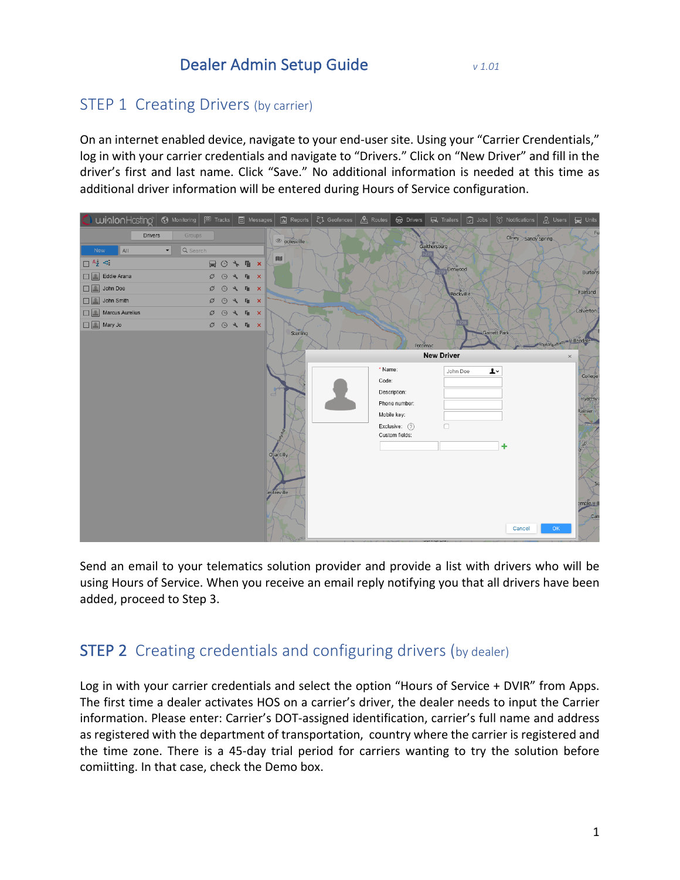#### STEP 1 Creating Drivers (by carrier)

On an internet enabled device, navigate to your end-user site. Using your "Carrier Crendentials," log in with your carrier credentials and navigate to "Drivers." Click on "New Driver" and fill in the driver's first and last name. Click "Save." No additional information is needed at this time as additional driver information will be entered during Hours of Service configuration.



Send an email to your telematics solution provider and provide a list with drivers who will be using Hours of Service. When you receive an email reply notifying you that all drivers have been added, proceed to Step 3.

#### **STEP 2** Creating credentials and configuring drivers (by dealer)

Log in with your carrier credentials and select the option "Hours of Service + DVIR" from Apps. The first time a dealer activates HOS on a carrier's driver, the dealer needs to input the Carrier information. Please enter: Carrier's DOT-assigned identification, carrier's full name and address as registered with the department of transportation, country where the carrier is registered and the time zone. There is a 45-day trial period for carriers wanting to try the solution before comiitting. In that case, check the Demo box.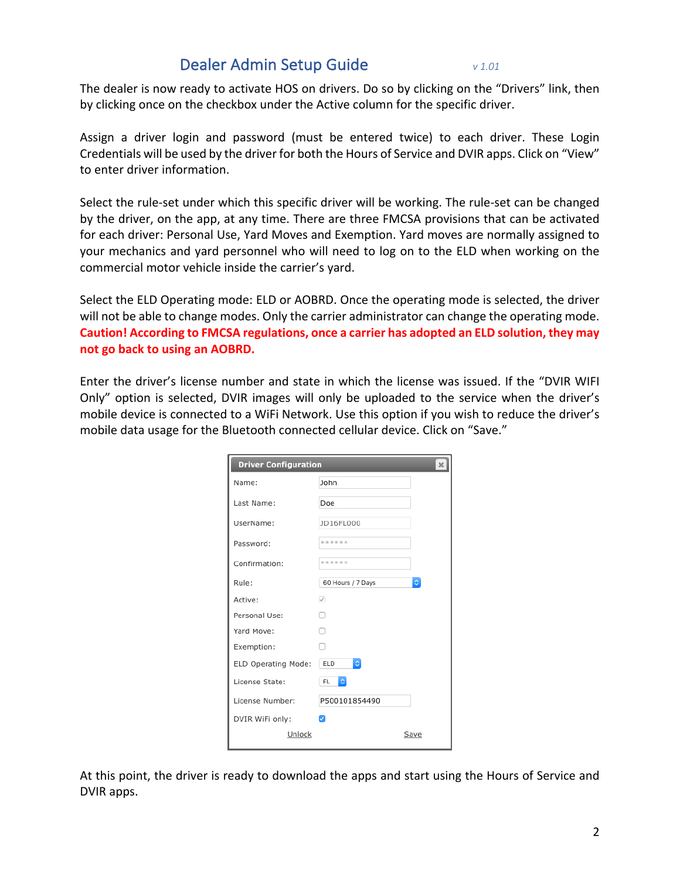The dealer is now ready to activate HOS on drivers. Do so by clicking on the "Drivers" link, then by clicking once on the checkbox under the Active column for the specific driver.

Assign a driver login and password (must be entered twice) to each driver. These Login Credentials will be used by the driver for both the Hours of Service and DVIR apps. Click on "View" to enter driver information.

Select the rule-set under which this specific driver will be working. The rule-set can be changed by the driver, on the app, at any time. There are three FMCSA provisions that can be activated for each driver: Personal Use, Yard Moves and Exemption. Yard moves are normally assigned to your mechanics and yard personnel who will need to log on to the ELD when working on the commercial motor vehicle inside the carrier's yard.

Select the ELD Operating mode: ELD or AOBRD. Once the operating mode is selected, the driver will not be able to change modes. Only the carrier administrator can change the operating mode. Caution! According to FMCSA regulations, once a carrier has adopted an ELD solution, they may **not go back to using an AOBRD.** 

Enter the driver's license number and state in which the license was issued. If the "DVIR WIFI Only" option is selected, DVIR images will only be uploaded to the service when the driver's mobile device is connected to a WiFi Network. Use this option if you wish to reduce the driver's mobile data usage for the Bluetooth connected cellular device. Click on "Save."

| <b>Driver Configuration</b><br>$\mathbf{x}$ |                          |      |  |  |  |  |  |  |  |  |
|---------------------------------------------|--------------------------|------|--|--|--|--|--|--|--|--|
| Name:                                       | John                     |      |  |  |  |  |  |  |  |  |
| Last Name:                                  | Doe                      |      |  |  |  |  |  |  |  |  |
| UserName:                                   | JD16FL000                |      |  |  |  |  |  |  |  |  |
| Password:                                   | ******                   |      |  |  |  |  |  |  |  |  |
| Confirmation:                               | ******                   |      |  |  |  |  |  |  |  |  |
| Rule:                                       | 60 Hours / 7 Days        | ¢    |  |  |  |  |  |  |  |  |
| Active:                                     | $\checkmark$             |      |  |  |  |  |  |  |  |  |
| Personal Use:                               |                          |      |  |  |  |  |  |  |  |  |
| Yard Move:                                  |                          |      |  |  |  |  |  |  |  |  |
| Exemption:                                  |                          |      |  |  |  |  |  |  |  |  |
| ELD Operating Mode:                         | $\Diamond$<br>ELD        |      |  |  |  |  |  |  |  |  |
| License State:                              | $ \diamond\rangle$<br>FL |      |  |  |  |  |  |  |  |  |
| License Number:                             | P500101854490            |      |  |  |  |  |  |  |  |  |
| DVIR WiFi only:                             | $\overline{\mathcal{L}}$ |      |  |  |  |  |  |  |  |  |
| Unlock                                      |                          | Save |  |  |  |  |  |  |  |  |

At this point, the driver is ready to download the apps and start using the Hours of Service and DVIR apps.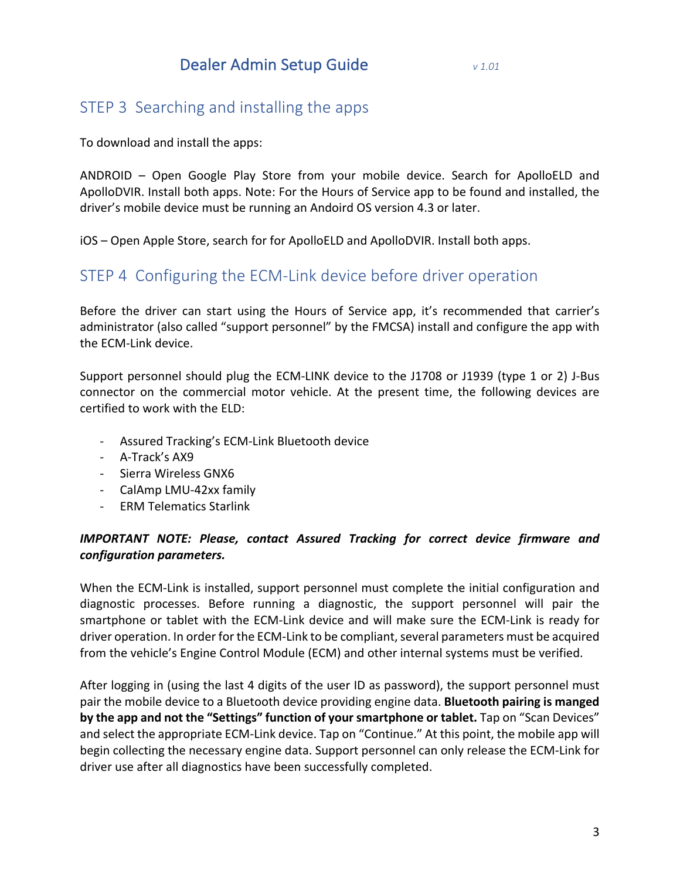#### STEP 3 Searching and installing the apps

To download and install the apps:

ANDROID – Open Google Play Store from your mobile device. Search for ApolloELD and ApolloDVIR. Install both apps. Note: For the Hours of Service app to be found and installed, the driver's mobile device must be running an Andoird OS version 4.3 or later.

iOS – Open Apple Store, search for for ApolloELD and ApolloDVIR. Install both apps.

#### STEP 4 Configuring the ECM-Link device before driver operation

Before the driver can start using the Hours of Service app, it's recommended that carrier's administrator (also called "support personnel" by the FMCSA) install and configure the app with the ECM-Link device.

Support personnel should plug the ECM-LINK device to the J1708 or J1939 (type 1 or 2) J-Bus connector on the commercial motor vehicle. At the present time, the following devices are certified to work with the ELD:

- Assured Tracking's ECM-Link Bluetooth device
- A-Track's AX9
- Sierra Wireless GNX6
- CalAmp LMU-42xx family
- **ERM Telematics Starlink**

#### **IMPORTANT NOTE: Please, contact Assured Tracking for correct device firmware and** *configuration parameters.*

When the ECM-Link is installed, support personnel must complete the initial configuration and diagnostic processes. Before running a diagnostic, the support personnel will pair the smartphone or tablet with the ECM-Link device and will make sure the ECM-Link is ready for driver operation. In order for the ECM-Link to be compliant, several parameters must be acquired from the vehicle's Engine Control Module (ECM) and other internal systems must be verified.

After logging in (using the last 4 digits of the user ID as password), the support personnel must pair the mobile device to a Bluetooth device providing engine data. **Bluetooth pairing is manged by the app and not the "Settings" function of your smartphone or tablet.** Tap on "Scan Devices" and select the appropriate ECM-Link device. Tap on "Continue." At this point, the mobile app will begin collecting the necessary engine data. Support personnel can only release the ECM-Link for driver use after all diagnostics have been successfully completed.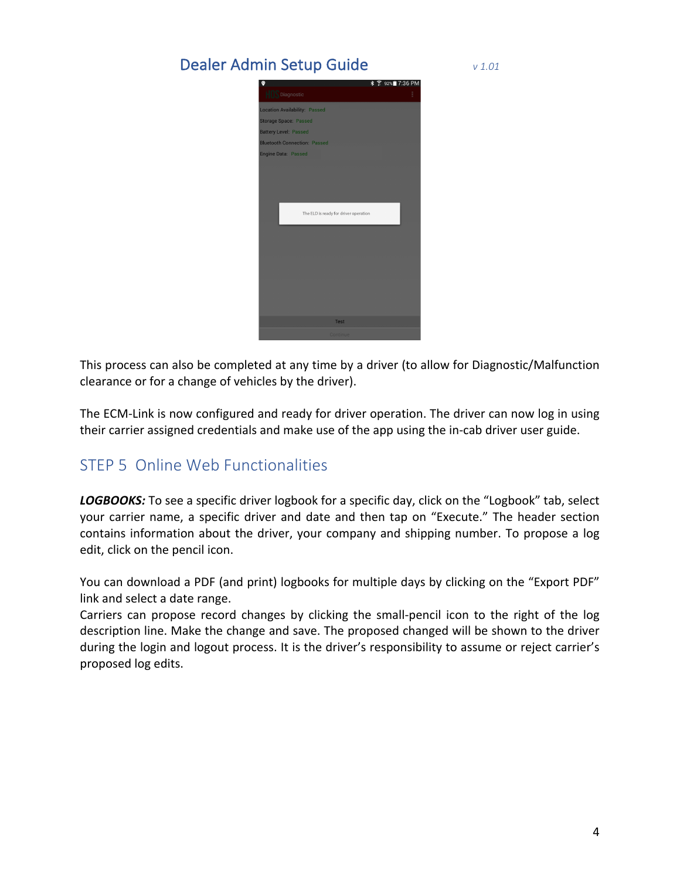| <b>* 膏 92%■7:36 PM</b><br>$\bullet$   |
|---------------------------------------|
| <b>HOS</b> Diagnostic<br>E            |
| <b>Location Availability: Passed</b>  |
| Storage Space: Passed                 |
| <b>Battery Level: Passed</b>          |
| <b>Bluetooth Connection: Passed</b>   |
| <b>Engine Data: Passed</b>            |
|                                       |
|                                       |
|                                       |
|                                       |
| The ELD is ready for driver operation |
|                                       |
|                                       |
|                                       |
|                                       |
|                                       |
|                                       |
|                                       |
|                                       |
|                                       |
| <b>Test</b>                           |
| Continue                              |

This process can also be completed at any time by a driver (to allow for Diagnostic/Malfunction clearance or for a change of vehicles by the driver).

The ECM-Link is now configured and ready for driver operation. The driver can now log in using their carrier assigned credentials and make use of the app using the in-cab driver user guide.

### STEP 5 Online Web Functionalities

**LOGBOOKS:** To see a specific driver logbook for a specific day, click on the "Logbook" tab, select your carrier name, a specific driver and date and then tap on "Execute." The header section contains information about the driver, your company and shipping number. To propose a log edit, click on the pencil icon.

You can download a PDF (and print) logbooks for multiple days by clicking on the "Export PDF" link and select a date range.

Carriers can propose record changes by clicking the small-pencil icon to the right of the log description line. Make the change and save. The proposed changed will be shown to the driver during the login and logout process. It is the driver's responsibility to assume or reject carrier's proposed log edits.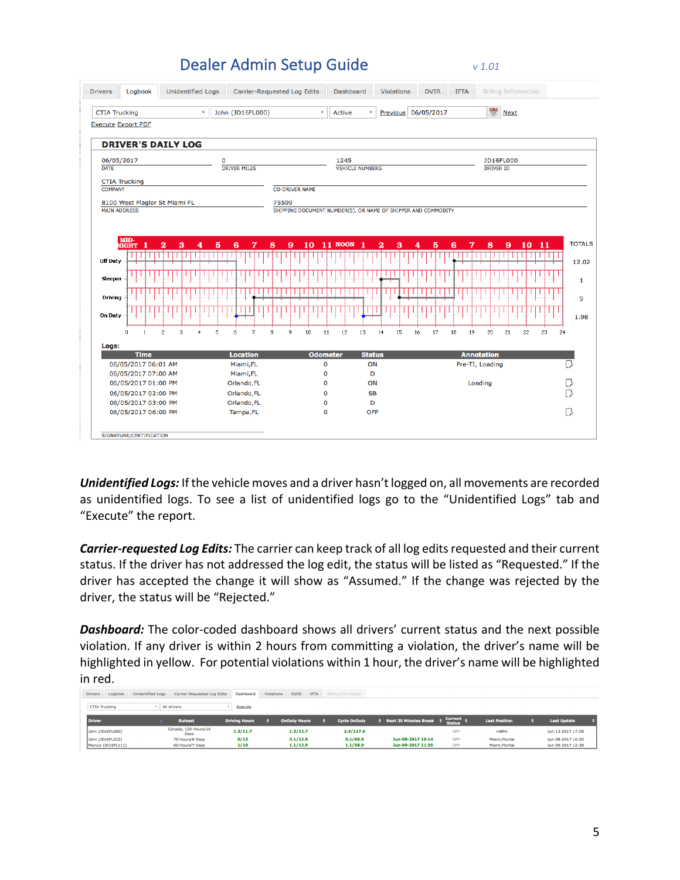| John (JD16FL000)<br><b>CTIA Trucking</b><br>$\mathbf v$ |                           |                                            |   |                |             | $\forall$<br><b>Active</b> |                          |                |   |       | Previous 06/05/2017 |                       |               |                                                               |    |                        | $\frac{1}{17}$<br><b>Next</b> |    |    |  |    |    |                 |    |                   |                  |           |  |      |    |    |                 |
|---------------------------------------------------------|---------------------------|--------------------------------------------|---|----------------|-------------|----------------------------|--------------------------|----------------|---|-------|---------------------|-----------------------|---------------|---------------------------------------------------------------|----|------------------------|-------------------------------|----|----|--|----|----|-----------------|----|-------------------|------------------|-----------|--|------|----|----|-----------------|
|                                                         | <b>Execute Export PDF</b> |                                            |   |                |             |                            |                          |                |   |       |                     |                       |               |                                                               |    |                        |                               |    |    |  |    |    |                 |    |                   |                  |           |  |      |    |    |                 |
|                                                         |                           |                                            |   |                |             |                            |                          |                |   |       |                     |                       |               |                                                               |    |                        |                               |    |    |  |    |    |                 |    |                   |                  |           |  |      |    |    |                 |
|                                                         |                           | <b>DRIVER'S DAILY LOG</b>                  |   |                |             |                            |                          |                |   |       |                     |                       |               |                                                               |    |                        |                               |    |    |  |    |    |                 |    |                   |                  |           |  |      |    |    |                 |
| 06/05/2017                                              |                           |                                            |   |                | $\mathbf 0$ |                            |                          |                |   |       |                     |                       |               | 1245                                                          |    |                        |                               |    |    |  |    |    |                 |    |                   |                  | JD16FL000 |  |      |    |    |                 |
| <b>DATE</b>                                             |                           |                                            |   |                |             |                            | <b>DRIVER MILES</b>      |                |   |       |                     |                       |               |                                                               |    | <b>VEHICLE NUMBERS</b> |                               |    |    |  |    |    |                 |    |                   | <b>DRIVER ID</b> |           |  |      |    |    |                 |
|                                                         | <b>CTIA Trucking</b>      |                                            |   |                |             |                            |                          |                |   |       |                     |                       |               |                                                               |    |                        |                               |    |    |  |    |    |                 |    |                   |                  |           |  |      |    |    |                 |
| <b>COMPANY</b>                                          |                           |                                            |   |                |             |                            |                          |                |   |       |                     | <b>CO-DRIVER NAME</b> |               |                                                               |    |                        |                               |    |    |  |    |    |                 |    |                   |                  |           |  |      |    |    |                 |
|                                                         |                           | 8100 West Flagler St Miami FL              |   |                |             |                            |                          |                |   | 75509 |                     |                       |               |                                                               |    |                        |                               |    |    |  |    |    |                 |    |                   |                  |           |  |      |    |    |                 |
| <b>MAIN ADDRESS</b>                                     |                           |                                            |   |                |             |                            |                          |                |   |       |                     |                       |               | SHIPPING DOCUMENT NUMBER(S), OR NAME OF SHIPPER AND COMMODITY |    |                        |                               |    |    |  |    |    |                 |    |                   |                  |           |  |      |    |    |                 |
|                                                         |                           |                                            |   |                |             |                            |                          |                |   |       |                     |                       |               |                                                               |    |                        |                               |    |    |  |    |    |                 |    |                   |                  |           |  |      |    |    |                 |
|                                                         | MID-                      |                                            |   |                |             |                            |                          |                |   |       |                     |                       |               |                                                               |    |                        |                               |    |    |  |    |    |                 |    |                   |                  |           |  |      |    |    |                 |
|                                                         | -1<br><b>NIGHT</b>        | $\overline{\mathbf{2}}$                    | 3 | 4              | 5           | 6                          |                          | 7              | 8 |       | 9                   | 10                    |               |                                                               |    | - 1                    | $\overline{\mathbf{2}}$       | 3  | 4  |  | 5  | 6  |                 | 7  |                   | 8                | 9         |  | 1011 |    |    | <b>TOTALS</b>   |
|                                                         |                           |                                            |   |                |             |                            |                          |                |   |       |                     |                       |               | <b>11 NOON</b>                                                |    |                        |                               |    |    |  |    |    |                 |    |                   |                  |           |  |      |    |    |                 |
| Off Duty                                                |                           |                                            |   |                |             |                            |                          |                |   |       |                     |                       |               |                                                               |    |                        |                               |    |    |  |    |    |                 |    |                   |                  |           |  |      |    |    |                 |
|                                                         |                           |                                            |   |                |             |                            |                          |                |   |       |                     |                       |               |                                                               |    |                        |                               |    |    |  |    |    |                 |    |                   |                  |           |  |      |    |    |                 |
| <b>Sleeper</b>                                          |                           |                                            |   |                |             |                            |                          |                |   |       |                     |                       |               |                                                               |    |                        |                               |    |    |  |    |    |                 |    |                   |                  |           |  |      |    |    |                 |
|                                                         |                           |                                            |   |                |             |                            |                          |                |   |       |                     |                       |               |                                                               |    |                        |                               |    |    |  |    |    |                 |    |                   |                  |           |  |      |    |    |                 |
| <b>Driving</b>                                          |                           |                                            |   |                |             |                            |                          |                |   |       |                     |                       |               |                                                               |    |                        |                               |    |    |  |    |    |                 |    |                   |                  |           |  |      |    |    | 12.02<br>1<br>9 |
| <b>On Duty</b>                                          |                           |                                            |   |                |             |                            |                          |                |   |       |                     |                       |               |                                                               |    |                        |                               |    |    |  |    |    |                 |    |                   |                  |           |  |      |    |    |                 |
|                                                         |                           |                                            |   |                |             |                            |                          |                |   |       |                     |                       |               |                                                               |    |                        |                               |    |    |  |    |    |                 |    |                   |                  |           |  |      |    |    |                 |
|                                                         | 0<br>$\overline{1}$       | $\overline{c}$                             | 3 | $\overline{4}$ | 5           | 6                          |                          | $\overline{7}$ | 8 |       | 9                   | 10                    | 11            |                                                               | 12 | 13                     | 14                            | 15 | 16 |  | 17 | 18 |                 | 19 |                   | 20               | 21        |  | 22   | 23 | 24 | 1.98            |
| Logs:                                                   |                           |                                            |   |                |             |                            |                          |                |   |       |                     |                       |               |                                                               |    |                        |                               |    |    |  |    |    |                 |    |                   |                  |           |  |      |    |    |                 |
|                                                         | <b>Time</b>               |                                            |   |                |             |                            | <b>Location</b>          |                |   |       |                     |                       |               | <b>Odometer</b>                                               |    |                        | <b>Status</b>                 |    |    |  |    |    |                 |    | <b>Annotation</b> |                  |           |  |      |    |    |                 |
|                                                         |                           | 06/05/2017 06:01 AM<br>06/05/2017 07:00 AM |   |                |             |                            | Miami, FL<br>Miami, FL   |                |   |       |                     |                       | $\Omega$<br>0 |                                                               |    |                        | ON<br>D                       |    |    |  |    |    | Pre-TI, Loading |    |                   |                  |           |  |      |    |    |                 |
|                                                         |                           | 06/05/2017 01:00 PM                        |   |                |             |                            | Orlando, FL              |                |   |       |                     |                       | 0             |                                                               |    |                        | ON                            |    |    |  |    |    |                 |    | Loading           |                  |           |  |      |    |    |                 |
|                                                         |                           | 06/05/2017 02:00 PM                        |   |                |             |                            | Orlando, FL              |                |   |       |                     |                       | O             |                                                               |    |                        | <b>SB</b>                     |    |    |  |    |    |                 |    |                   |                  |           |  |      |    |    | ß               |
|                                                         |                           | 06/05/2017 03:00 PM<br>06/05/2017 06:00 PM |   |                |             |                            | Orlando, FL<br>Tampa, FL |                |   |       |                     |                       | O<br>O        |                                                               |    |                        | D<br><b>OFF</b>               |    |    |  |    |    |                 |    |                   |                  |           |  |      |    |    | D               |

**Unidentified Logs:** If the vehicle moves and a driver hasn't logged on, all movements are recorded as unidentified logs. To see a list of unidentified logs go to the "Unidentified Logs" tab and "Execute" the report.

**Carrier-requested Log Edits:** The carrier can keep track of all log edits requested and their current status. If the driver has not addressed the log edit, the status will be listed as "Requested." If the driver has accepted the change it will show as "Assumed." If the change was rejected by the driver, the status will be "Rejected."

**Dashboard:** The color-coded dashboard shows all drivers' current status and the next possible violation. If any driver is within 2 hours from committing a violation, the driver's name will be highlighted in yellow. For potential violations within 1 hour, the driver's name will be highlighted in red.

| <b>Drivers</b> | Logbook              | <b>Unidentified Logs</b> | Carrier-Requested Log Edits  | Dashboard            | Violations | <b>DVIR</b>         | <b>IFTA</b> | <b>Billing Information</b> |                         |                                 |                      |                    |
|----------------|----------------------|--------------------------|------------------------------|----------------------|------------|---------------------|-------------|----------------------------|-------------------------|---------------------------------|----------------------|--------------------|
|                | <b>CTIA Trucking</b> |                          | All drivers                  | Execute              |            |                     |             |                            |                         |                                 |                      |                    |
| <b>Driver</b>  |                      |                          | <b>Ruleset</b>               | <b>Driving Hours</b> |            | <b>OnDuty Hours</b> |             | <b>Cycle OnDuty</b>        | ♦ Next 30 Minutes Break | <b>Current</b><br><b>Status</b> | <b>Last Position</b> | <b>Last Update</b> |
|                | John (JD16FL000)     |                          | Canada, 120 Hours/14<br>Days | 1.3/11.7             |            | 1.3/12.7            |             | 2.4/117.6                  |                         | OFF                             | m8frh                | Jun-13-2017 17:58  |
|                | John (JD16FL222)     |                          | 70 Hours/8 Days              | 0/13                 |            | 0.1/13.9            |             | 0.1/69.9                   | Jun-08-2017 10:14       | OFF                             | Miami, Florida       | Jun-08-2017 10:20  |
|                | Marcus (JD16FL111)   |                          | 60 Hours/7 Days              | 1/10                 |            | 1.1/12.9            |             | 1.1/58.9                   | Jun-09-2017 11:35       | OFF                             | Miami, Florida       | Jun-09-2017 12:38  |